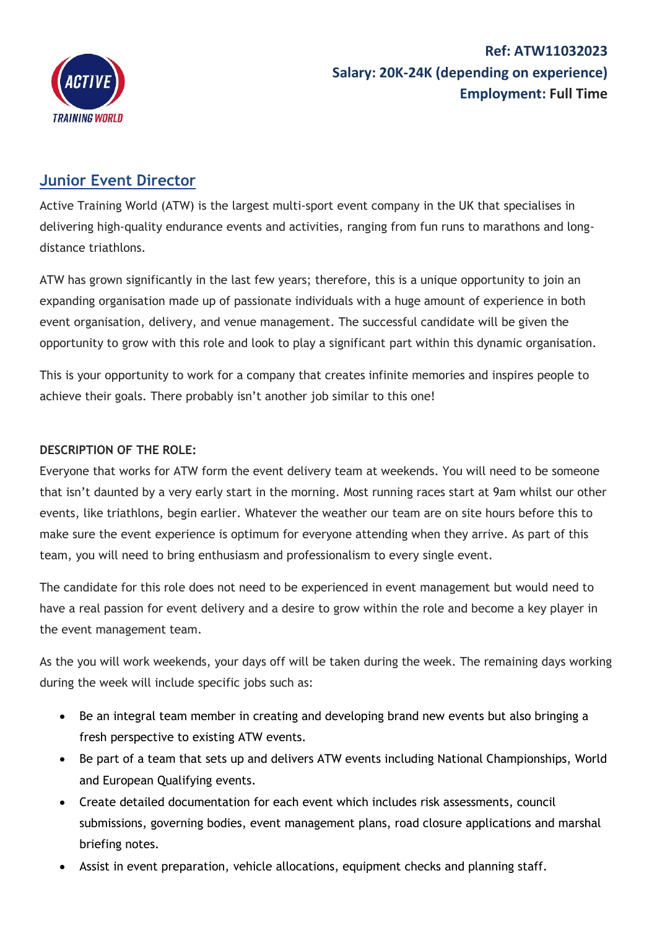

## **Ref: ATW11032023 Salary: 20K-24K (depending on experience) Employment: Full Time**

## **Junior Event Director**

Active Training World (ATW) is the largest multi-sport event company in the UK that specialises in delivering high-quality endurance events and activities, ranging from fun runs to marathons and longdistance triathlons.

ATW has grown significantly in the last few years; therefore, this is a unique opportunity to join an expanding organisation made up of passionate individuals with a huge amount of experience in both event organisation, delivery, and venue management. The successful candidate will be given the opportunity to grow with this role and look to play a significant part within this dynamic organisation.

This is your opportunity to work for a company that creates infinite memories and inspires people to achieve their goals. There probably isn't another job similar to this one!

## **DESCRIPTION OF THE ROLE:**

Everyone that works for ATW form the event delivery team at weekends. You will need to be someone that isn't daunted by a very early start in the morning. Most running races start at 9am whilst our other events, like triathlons, begin earlier. Whatever the weather our team are on site hours before this to make sure the event experience is optimum for everyone attending when they arrive. As part of this team, you will need to bring enthusiasm and professionalism to every single event.

The candidate for this role does not need to be experienced in event management but would need to have a real passion for event delivery and a desire to grow within the role and become a key player in the event management team.

As the you will work weekends, your days off will be taken during the week. The remaining days working during the week will include specific jobs such as:

- Be an integral team member in creating and developing brand new events but also bringing a fresh perspective to existing ATW events.
- Be part of a team that sets up and delivers ATW events including National Championships, World and European Qualifying events.
- Create detailed documentation for each event which includes risk assessments, council submissions, governing bodies, event management plans, road closure applications and marshal briefing notes.
- Assist in event preparation, vehicle allocations, equipment checks and planning staff.